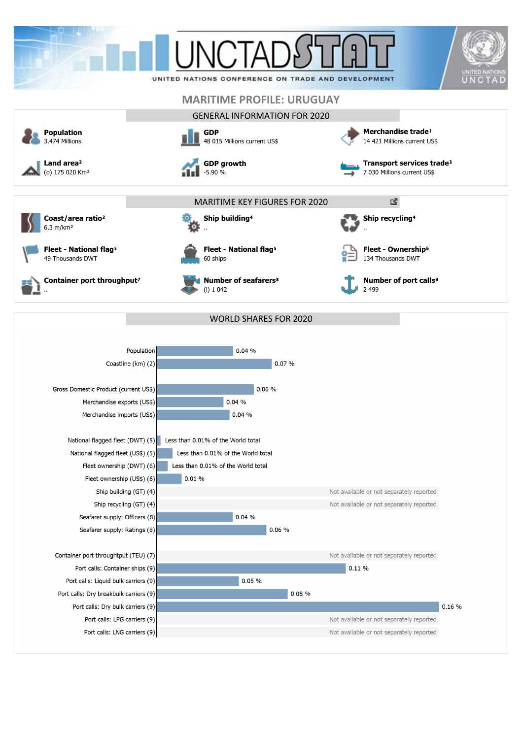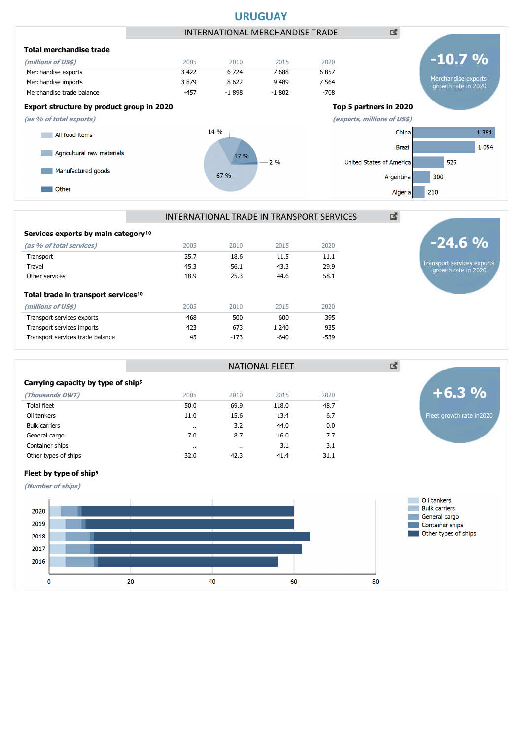

## **Total trade in transport services<sup>10</sup> (millions of US\$)** 2005 2010 2015 2020 Services exports by main category<sup>10</sup> **(as % of total services)** 2005 2010 2015 2020 Transport 35.7 18.6 11.5 11.1 Travel 45.3 56.1 43.3 29.9 Other services 25.3 44.6 58.1

Transport services exports and the services exports of the services of the services exports and the services of the services of the services of the services of the services of the services of the services of the services o Transport services imports 423 673 1 240 935

# Transport services exports growth rate in 2020 **-24.6 %**

Carrying capacity by type of ship<sup>5</sup> **(Thousands DWT)** 2005 2010 2015 2020 Total fleet 50.0 69.9 118.0 48.7 Oil tankers 6.7 (11.0 15.6 13.4 6.7 minutes) and the contract of the contract of the contract of the contract o Bulk carriers .. 3.2 44.0 0.0 General cargo 6.1 16.0 17.7 16.0 17.7 16.0 17.7 16.0 17.7 16.0 17.7 16.0 17.7 16.0 17.7 16.0 17.7 17.7 16.0 17 Container ships .. .. 3.1 3.1 Other types of ships 31.1 **32.0** 42.3 41.4 31.1 NATIONAL FLEET Transport services trade balance  $\overline{a}$  45  $\overline{a}$  -173  $\overline{a}$  -640  $\overline{a}$  -539



## Fleet by type of ship<sup>5</sup>

**(Number of ships)**

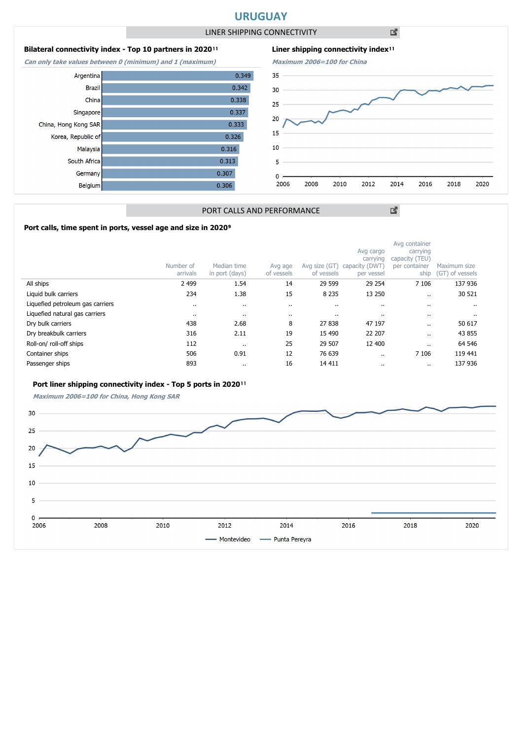## **URUGUAY**

LINER SHIPPING CONNECTIVITY

凶

### **Bilateral connectivity index - Top 10 partners in 2020**<sup>11</sup>

**Can only take values between 0 (minimum) and 1 (maximum)**





図

## PORT CALLS AND PERFORMANCE

### Port calls, time spent in ports, vessel age and size in 2020<sup>9</sup>

|                                  | Number of<br>arrivals | Median time<br>in port (days) | Avg age<br>of vessels | Avg size (GT)<br>of vessels | Avg cargo<br>carrying<br>capacity (DWT)<br>per vessel | Avg container<br>carrying<br>capacity (TEU)<br>per container<br>ship | Maximum size<br>(GT) of vessels |
|----------------------------------|-----------------------|-------------------------------|-----------------------|-----------------------------|-------------------------------------------------------|----------------------------------------------------------------------|---------------------------------|
| All ships                        | 2 4 9 9               | 1.54                          | 14                    | 29 599                      | 29 254                                                | 7 1 0 6                                                              | 137 936                         |
| Liquid bulk carriers             | 234                   | 1.38                          | 15                    | 8 2 3 5                     | 13 250                                                | $\ddot{\phantom{a}}$                                                 | 30 521                          |
| Liquefied petroleum gas carriers |                       | $\ddot{\phantom{a}}$          |                       | $\cdots$                    |                                                       |                                                                      |                                 |
| Liquefied natural gas carriers   |                       | $\cdot$                       | $\cdot$               | $\cdots$                    | $\cdots$                                              |                                                                      | $\cdot$ .                       |
| Dry bulk carriers                | 438                   | 2.68                          | 8                     | 27 838                      | 47 197                                                |                                                                      | 50 617                          |
| Dry breakbulk carriers           | 316                   | 2.11                          | 19                    | 15 490                      | 22 207                                                | $\ddot{\phantom{a}}$                                                 | 43 855                          |
| Roll-on/roll-off ships           | 112                   | $\cdot$                       | 25                    | 29 507                      | 12 400                                                |                                                                      | 64 546                          |
| Container ships                  | 506                   | 0.91                          | 12                    | 76 639                      |                                                       | 7 1 0 6                                                              | 119 441                         |
| Passenger ships                  | 893                   | $\cdot$                       | 16                    | 14 411                      | $\cdots$                                              |                                                                      | 137 936                         |

#### Port liner shipping connectivity index - Top 5 ports in 2020<sup>11</sup>